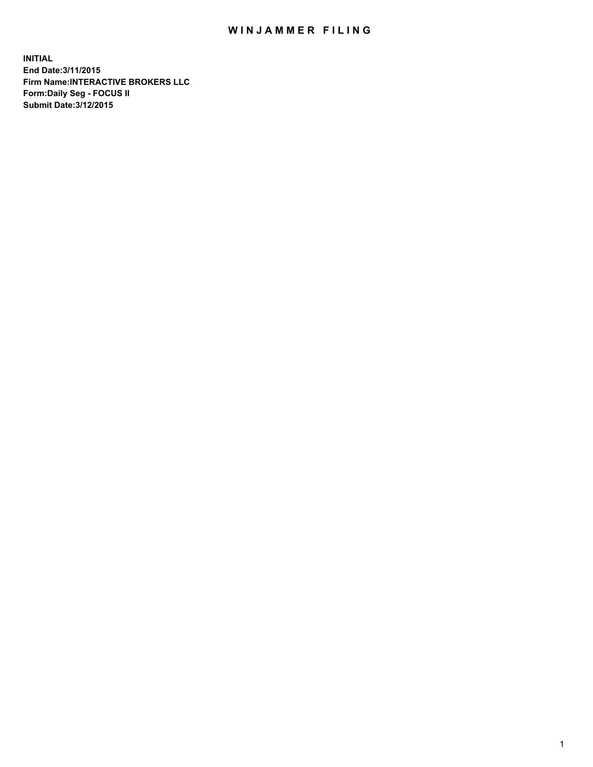## WIN JAMMER FILING

**INITIAL End Date:3/11/2015 Firm Name:INTERACTIVE BROKERS LLC Form:Daily Seg - FOCUS II Submit Date:3/12/2015**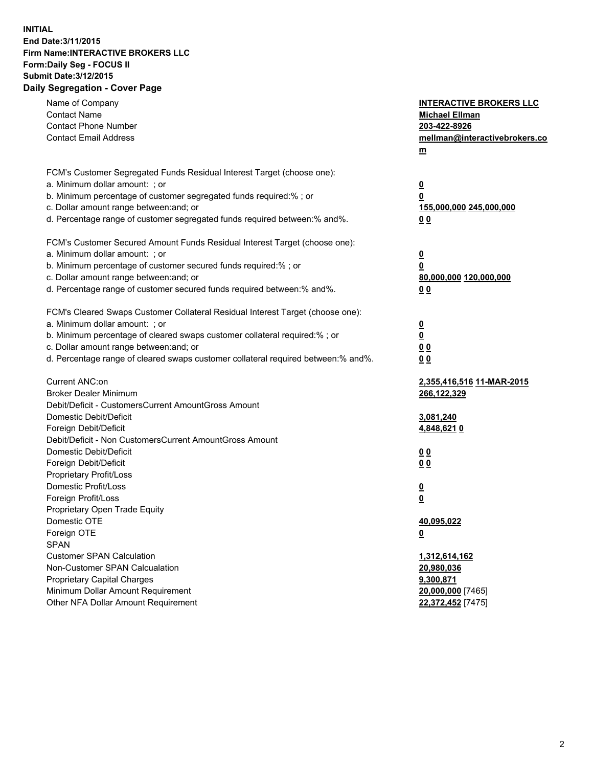## **INITIAL End Date:3/11/2015 Firm Name:INTERACTIVE BROKERS LLC Form:Daily Seg - FOCUS II Submit Date:3/12/2015 Daily Segregation - Cover Page**

| Name of Company<br><b>Contact Name</b>                                            | <b>INTERACTIVE BROKERS LLC</b><br><b>Michael Ellman</b> |
|-----------------------------------------------------------------------------------|---------------------------------------------------------|
| <b>Contact Phone Number</b>                                                       | 203-422-8926                                            |
| <b>Contact Email Address</b>                                                      | mellman@interactivebrokers.co                           |
|                                                                                   | $m$                                                     |
|                                                                                   |                                                         |
| FCM's Customer Segregated Funds Residual Interest Target (choose one):            |                                                         |
| a. Minimum dollar amount: ; or                                                    | <u>0</u>                                                |
| b. Minimum percentage of customer segregated funds required:% ; or                | <u>0</u>                                                |
| c. Dollar amount range between: and; or                                           | 155,000,000 245,000,000                                 |
| d. Percentage range of customer segregated funds required between:% and%.         | 0 <sub>0</sub>                                          |
| FCM's Customer Secured Amount Funds Residual Interest Target (choose one):        |                                                         |
| a. Minimum dollar amount: ; or                                                    | <u>0</u>                                                |
| b. Minimum percentage of customer secured funds required:% ; or                   | 0                                                       |
| c. Dollar amount range between: and; or                                           | 80,000,000 120,000,000                                  |
| d. Percentage range of customer secured funds required between:% and%.            | 0 <sub>0</sub>                                          |
| FCM's Cleared Swaps Customer Collateral Residual Interest Target (choose one):    |                                                         |
| a. Minimum dollar amount: ; or                                                    | $\overline{\mathbf{0}}$                                 |
| b. Minimum percentage of cleared swaps customer collateral required:% ; or        | <u>0</u>                                                |
| c. Dollar amount range between: and; or                                           | 0 <sub>0</sub>                                          |
| d. Percentage range of cleared swaps customer collateral required between:% and%. | 0 <sub>0</sub>                                          |
| Current ANC:on                                                                    | 2,355,416,516 11-MAR-2015                               |
| <b>Broker Dealer Minimum</b>                                                      | 266,122,329                                             |
| Debit/Deficit - CustomersCurrent AmountGross Amount                               |                                                         |
| Domestic Debit/Deficit                                                            | 3,081,240                                               |
| Foreign Debit/Deficit                                                             | 4,848,6210                                              |
| Debit/Deficit - Non CustomersCurrent AmountGross Amount                           |                                                         |
| Domestic Debit/Deficit                                                            | 0 <sub>0</sub>                                          |
| Foreign Debit/Deficit                                                             | 0 <sub>0</sub>                                          |
| Proprietary Profit/Loss                                                           |                                                         |
| Domestic Profit/Loss                                                              | $\overline{\mathbf{0}}$                                 |
| Foreign Profit/Loss                                                               | <u>0</u>                                                |
| Proprietary Open Trade Equity                                                     |                                                         |
| Domestic OTE                                                                      | 40,095,022                                              |
| Foreign OTE                                                                       | <u>0</u>                                                |
| <b>SPAN</b>                                                                       |                                                         |
| <b>Customer SPAN Calculation</b>                                                  | 1,312,614,162                                           |
| Non-Customer SPAN Calcualation                                                    | 20,980,036                                              |
| <b>Proprietary Capital Charges</b>                                                | 9,300,871                                               |
| Minimum Dollar Amount Requirement                                                 | 20,000,000 [7465]                                       |
| Other NFA Dollar Amount Requirement                                               | 22,372,452 [7475]                                       |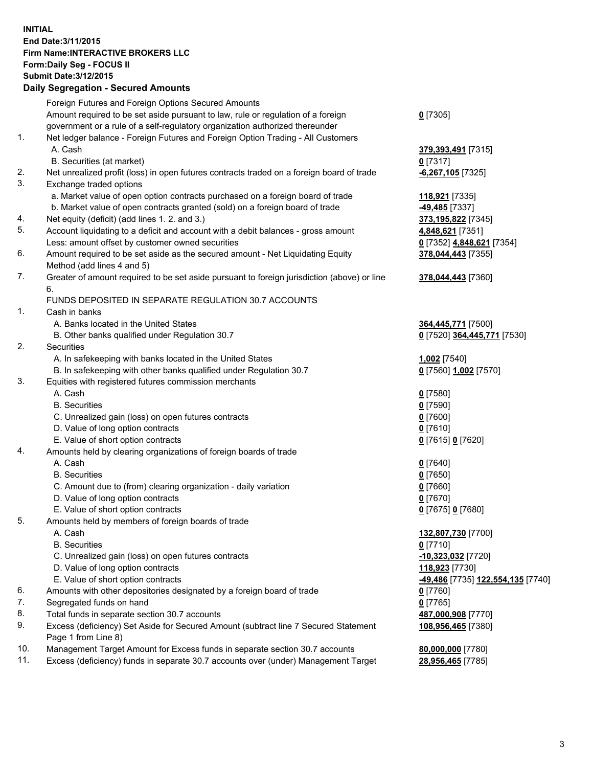## **INITIAL End Date:3/11/2015 Firm Name:INTERACTIVE BROKERS LLC Form:Daily Seg - FOCUS II Submit Date:3/12/2015 Daily Segregation - Secured Amounts**

|     | Daily Jegiegation - Jeculed Aniounts                                                        |                                   |
|-----|---------------------------------------------------------------------------------------------|-----------------------------------|
|     | Foreign Futures and Foreign Options Secured Amounts                                         |                                   |
|     | Amount required to be set aside pursuant to law, rule or regulation of a foreign            | $0$ [7305]                        |
|     | government or a rule of a self-regulatory organization authorized thereunder                |                                   |
| 1.  | Net ledger balance - Foreign Futures and Foreign Option Trading - All Customers             |                                   |
|     | A. Cash                                                                                     | 379,393,491 [7315]                |
|     | B. Securities (at market)                                                                   | $0$ [7317]                        |
| 2.  | Net unrealized profit (loss) in open futures contracts traded on a foreign board of trade   | $-6,267,105$ [7325]               |
| 3.  | Exchange traded options                                                                     |                                   |
|     | a. Market value of open option contracts purchased on a foreign board of trade              | 118,921 [7335]                    |
|     | b. Market value of open contracts granted (sold) on a foreign board of trade                | -49,485 [7337]                    |
| 4.  | Net equity (deficit) (add lines 1.2. and 3.)                                                | 373,195,822 [7345]                |
| 5.  | Account liquidating to a deficit and account with a debit balances - gross amount           | 4,848,621 [7351]                  |
|     | Less: amount offset by customer owned securities                                            | 0 [7352] 4,848,621 [7354]         |
| 6.  | Amount required to be set aside as the secured amount - Net Liquidating Equity              | 378,044,443 [7355]                |
|     | Method (add lines 4 and 5)                                                                  |                                   |
| 7.  | Greater of amount required to be set aside pursuant to foreign jurisdiction (above) or line | 378,044,443 [7360]                |
|     | 6.                                                                                          |                                   |
|     | FUNDS DEPOSITED IN SEPARATE REGULATION 30.7 ACCOUNTS                                        |                                   |
| 1.  | Cash in banks                                                                               |                                   |
|     | A. Banks located in the United States                                                       | 364,445,771 [7500]                |
|     | B. Other banks qualified under Regulation 30.7                                              | 0 [7520] 364,445,771 [7530]       |
| 2.  | Securities                                                                                  |                                   |
|     | A. In safekeeping with banks located in the United States                                   | 1,002 [7540]                      |
|     | B. In safekeeping with other banks qualified under Regulation 30.7                          | 0 [7560] 1,002 [7570]             |
| 3.  | Equities with registered futures commission merchants                                       |                                   |
|     | A. Cash                                                                                     | $0$ [7580]                        |
|     | <b>B.</b> Securities                                                                        | $0$ [7590]                        |
|     | C. Unrealized gain (loss) on open futures contracts                                         | $0$ [7600]                        |
|     | D. Value of long option contracts                                                           | $0$ [7610]                        |
|     | E. Value of short option contracts                                                          | 0 [7615] 0 [7620]                 |
| 4.  | Amounts held by clearing organizations of foreign boards of trade                           |                                   |
|     | A. Cash                                                                                     | $0$ [7640]                        |
|     | <b>B.</b> Securities                                                                        | $0$ [7650]                        |
|     | C. Amount due to (from) clearing organization - daily variation                             | $0$ [7660]                        |
|     | D. Value of long option contracts                                                           | $0$ [7670]                        |
|     | E. Value of short option contracts                                                          | 0 [7675] 0 [7680]                 |
| 5.  | Amounts held by members of foreign boards of trade                                          |                                   |
|     | A. Cash                                                                                     | 132,807,730 [7700]                |
|     | <b>B.</b> Securities                                                                        | $0$ [7710]                        |
|     | C. Unrealized gain (loss) on open futures contracts                                         | -10,323,032 [7720]                |
|     | D. Value of long option contracts                                                           | 118,923 [7730]                    |
|     | E. Value of short option contracts                                                          | -49,486 [7735] 122,554,135 [7740] |
| 6.  | Amounts with other depositories designated by a foreign board of trade                      | 0 [7760]                          |
| 7.  | Segregated funds on hand                                                                    | $0$ [7765]                        |
| 8.  | Total funds in separate section 30.7 accounts                                               | 487,000,908 [7770]                |
| 9.  | Excess (deficiency) Set Aside for Secured Amount (subtract line 7 Secured Statement         | 108,956,465 [7380]                |
|     | Page 1 from Line 8)                                                                         |                                   |
| 10. | Management Target Amount for Excess funds in separate section 30.7 accounts                 | 80,000,000 [7780]                 |
| 11. | Excess (deficiency) funds in separate 30.7 accounts over (under) Management Target          | 28,956,465 [7785]                 |
|     |                                                                                             |                                   |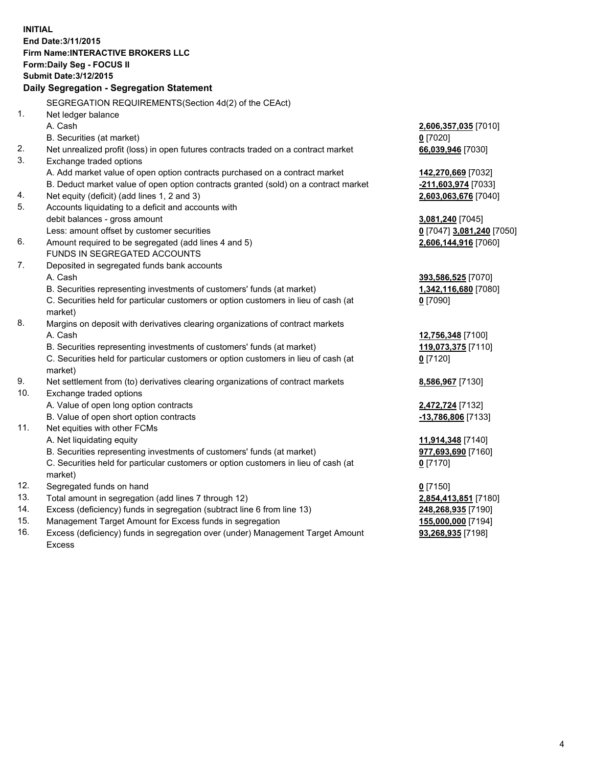**INITIAL End Date:3/11/2015 Firm Name:INTERACTIVE BROKERS LLC Form:Daily Seg - FOCUS II Submit Date:3/12/2015 Daily Segregation - Segregation Statement** SEGREGATION REQUIREMENTS(Section 4d(2) of the CEAct) 1. Net ledger balance A. Cash **2,606,357,035** [7010] B. Securities (at market) **0** [7020] 2. Net unrealized profit (loss) in open futures contracts traded on a contract market **66,039,946** [7030] 3. Exchange traded options A. Add market value of open option contracts purchased on a contract market **142,270,669** [7032] B. Deduct market value of open option contracts granted (sold) on a contract market **-211,603,974** [7033] 4. Net equity (deficit) (add lines 1, 2 and 3) **2,603,063,676** [7040] 5. Accounts liquidating to a deficit and accounts with debit balances - gross amount **3,081,240** [7045] Less: amount offset by customer securities **0** [7047] **3,081,240** [7050] 6. Amount required to be segregated (add lines 4 and 5) **2,606,144,916** [7060] FUNDS IN SEGREGATED ACCOUNTS 7. Deposited in segregated funds bank accounts A. Cash **393,586,525** [7070] B. Securities representing investments of customers' funds (at market) **1,342,116,680** [7080] C. Securities held for particular customers or option customers in lieu of cash (at market) **0** [7090] 8. Margins on deposit with derivatives clearing organizations of contract markets A. Cash **12,756,348** [7100] B. Securities representing investments of customers' funds (at market) **119,073,375** [7110] C. Securities held for particular customers or option customers in lieu of cash (at market) **0** [7120] 9. Net settlement from (to) derivatives clearing organizations of contract markets **8,586,967** [7130] 10. Exchange traded options A. Value of open long option contracts **2,472,724** [7132] B. Value of open short option contracts **-13,786,806** [7133] 11. Net equities with other FCMs A. Net liquidating equity **11,914,348** [7140] B. Securities representing investments of customers' funds (at market) **977,693,690** [7160] C. Securities held for particular customers or option customers in lieu of cash (at market) **0** [7170] 12. Segregated funds on hand **0** [7150] 13. Total amount in segregation (add lines 7 through 12) **2,854,413,851** [7180] 14. Excess (deficiency) funds in segregation (subtract line 6 from line 13) **248,268,935** [7190] 15. Management Target Amount for Excess funds in segregation **155,000,000** [7194]

16. Excess (deficiency) funds in segregation over (under) Management Target Amount Excess

**93,268,935** [7198]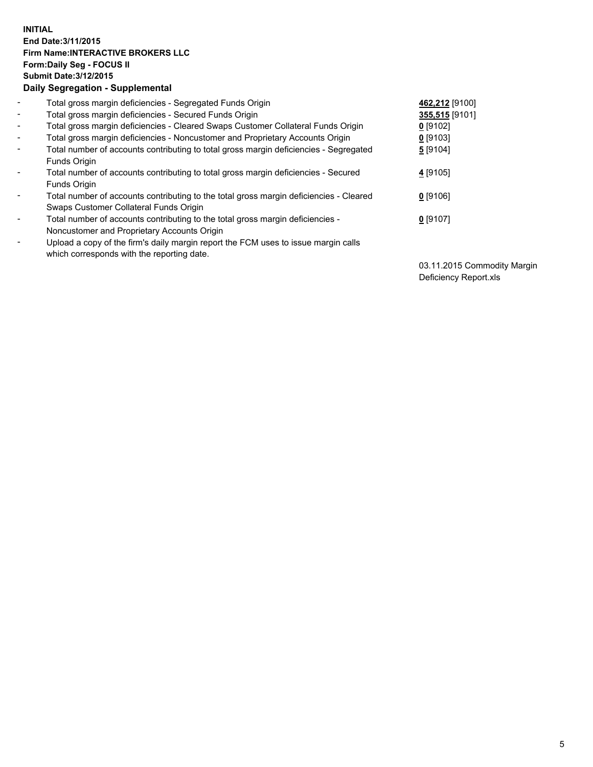## **INITIAL End Date:3/11/2015 Firm Name:INTERACTIVE BROKERS LLC Form:Daily Seg - FOCUS II Submit Date:3/12/2015 Daily Segregation - Supplemental**

| $\blacksquare$           | Total gross margin deficiencies - Segregated Funds Origin                              | 462,212 [9100] |
|--------------------------|----------------------------------------------------------------------------------------|----------------|
| $\blacksquare$           | Total gross margin deficiencies - Secured Funds Origin                                 | 355,515 [9101] |
| $\blacksquare$           | Total gross margin deficiencies - Cleared Swaps Customer Collateral Funds Origin       | $0$ [9102]     |
| $\blacksquare$           | Total gross margin deficiencies - Noncustomer and Proprietary Accounts Origin          | $0$ [9103]     |
| $\blacksquare$           | Total number of accounts contributing to total gross margin deficiencies - Segregated  | 5 [9104]       |
|                          | Funds Origin                                                                           |                |
| $\blacksquare$           | Total number of accounts contributing to total gross margin deficiencies - Secured     | 4 [9105]       |
|                          | Funds Origin                                                                           |                |
| $\blacksquare$           | Total number of accounts contributing to the total gross margin deficiencies - Cleared | $0$ [9106]     |
|                          | Swaps Customer Collateral Funds Origin                                                 |                |
| $\overline{\phantom{a}}$ | Total number of accounts contributing to the total gross margin deficiencies -         | $0$ [9107]     |
|                          | Noncustomer and Proprietary Accounts Origin                                            |                |
| $\overline{\phantom{a}}$ | Upload a copy of the firm's daily margin report the FCM uses to issue margin calls     |                |
|                          | which corresponds with the reporting date.                                             |                |

03.11.2015 Commodity Margin Deficiency Report.xls